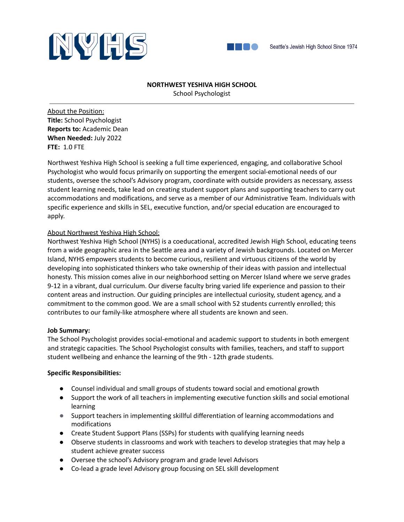



## **NORTHWEST YESHIVA HIGH SCHOOL**

School Psychologist

About the Position: **Title:** School Psychologist **Reports to:** Academic Dean **When Needed:** July 2022 **FTE:** 1.0 FTE

Northwest Yeshiva High School is seeking a full time experienced, engaging, and collaborative School Psychologist who would focus primarily on supporting the emergent social-emotional needs of our students, oversee the school's Advisory program, coordinate with outside providers as necessary, assess student learning needs, take lead on creating student support plans and supporting teachers to carry out accommodations and modifications, and serve as a member of our Administrative Team. Individuals with specific experience and skills in SEL, executive function, and/or special education are encouraged to apply.

# About Northwest Yeshiva High School:

Northwest Yeshiva High School (NYHS) is a coeducational, accredited Jewish High School, educating teens from a wide geographic area in the Seattle area and a variety of Jewish backgrounds. Located on Mercer Island, NYHS empowers students to become curious, resilient and virtuous citizens of the world by developing into sophisticated thinkers who take ownership of their ideas with passion and intellectual honesty. This mission comes alive in our neighborhood setting on Mercer Island where we serve grades 9-12 in a vibrant, dual curriculum. Our diverse faculty bring varied life experience and passion to their content areas and instruction. Our guiding principles are intellectual curiosity, student agency, and a commitment to the common good. We are a small school with 52 students currently enrolled; this contributes to our family-like atmosphere where all students are known and seen.

# **Job Summary:**

The School Psychologist provides social-emotional and academic support to students in both emergent and strategic capacities. The School Psychologist consults with families, teachers, and staff to support student wellbeing and enhance the learning of the 9th - 12th grade students.

### **Specific Responsibilities:**

- Counsel individual and small groups of students toward social and emotional growth
- Support the work of all teachers in implementing executive function skills and social emotional learning
- Support teachers in implementing skillful differentiation of learning accommodations and modifications
- Create Student Support Plans (SSPs) for students with qualifying learning needs
- Observe students in classrooms and work with teachers to develop strategies that may help a student achieve greater success
- Oversee the school's Advisory program and grade level Advisors
- Co-lead a grade level Advisory group focusing on SEL skill development